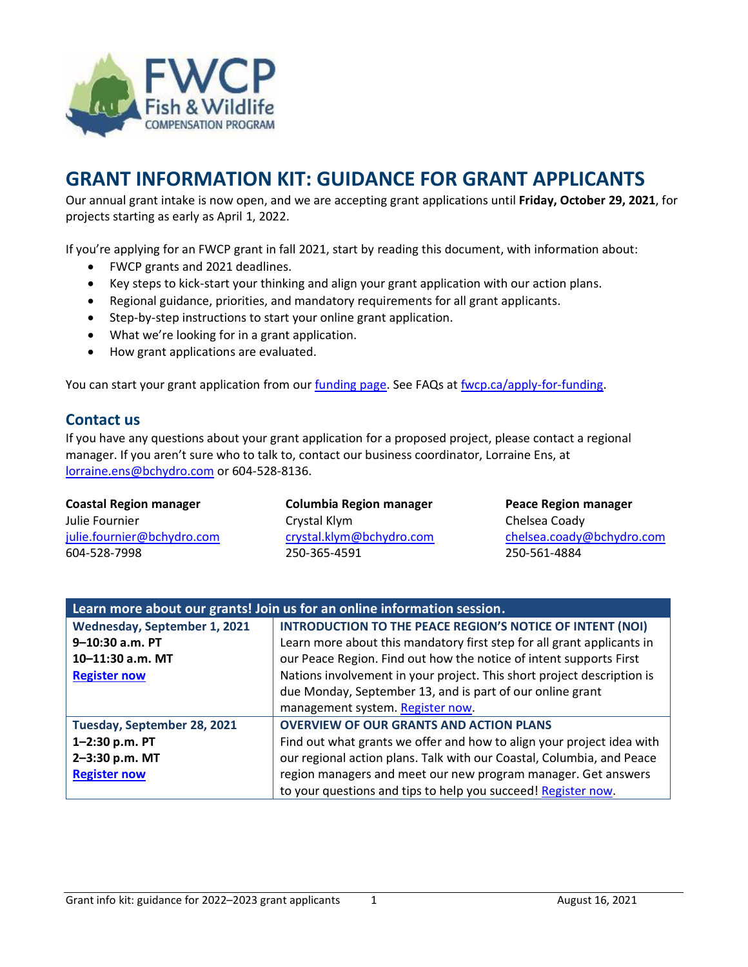

# **GRANT INFORMATION KIT: GUIDANCE FOR GRANT APPLICANTS**

Our annual grant intake is now open, and we are accepting grant applications until **Friday, October 29, 2021**, for projects starting as early as April 1, 2022.

If you're applying for an FWCP grant in fall 2021, start by reading this document, with information about:

- FWCP grants and 2021 deadlines.
- Key steps to kick-start your thinking and align your grant application with our action plans.
- Regional guidance, priorities, and mandatory requirements for all grant applicants.
- Step-by-step instructions to start your online grant application.
- What we're looking for in a grant application.
- How grant applications are evaluated.

You can start your grant application from our [funding page.](http://fwcp.ca/apply-for-funding/) See FAQs at [fwcp.ca/apply-for-funding.](http://fwcp.ca/apply-for-funding/)

### **Contact us**

If you have any questions about your grant application for a proposed project, please contact a regional manager. If you aren't sure who to talk to, contact our business coordinator, Lorraine Ens, at [lorraine.ens@bchydro.com](mailto:lorraine.ens@bchydro.com) or 604-528-8136.

| <b>Coastal Region manager</b> | <b>Columbia Region manager</b> | <b>Peace Region manager</b> |  |
|-------------------------------|--------------------------------|-----------------------------|--|
| Julie Fournier                | Crystal Klym                   | Chelsea Coady               |  |
| julie.fournier@bchydro.com    | crystal.klym@bchydro.com       | chelsea.coady@bchydro.com   |  |
| 604-528-7998                  | 250-365-4591                   | 250-561-4884                |  |
|                               |                                |                             |  |

| Learn more about our grants! Join us for an online information session. |                                                                        |  |
|-------------------------------------------------------------------------|------------------------------------------------------------------------|--|
| Wednesday, September 1, 2021                                            | INTRODUCTION TO THE PEACE REGION'S NOTICE OF INTENT (NOI)              |  |
| $9 - 10:30$ a.m. PT                                                     | Learn more about this mandatory first step for all grant applicants in |  |
| 10-11:30 a.m. MT                                                        | our Peace Region. Find out how the notice of intent supports First     |  |
| <b>Register now</b>                                                     | Nations involvement in your project. This short project description is |  |
|                                                                         | due Monday, September 13, and is part of our online grant              |  |
|                                                                         | management system. Register now.                                       |  |
| Tuesday, September 28, 2021                                             | <b>OVERVIEW OF OUR GRANTS AND ACTION PLANS</b>                         |  |
| 1-2:30 p.m. PT                                                          | Find out what grants we offer and how to align your project idea with  |  |
| 2-3:30 p.m. MT                                                          | our regional action plans. Talk with our Coastal, Columbia, and Peace  |  |
| <b>Register now</b>                                                     | region managers and meet our new program manager. Get answers          |  |
|                                                                         | to your questions and tips to help you succeed! Register now.          |  |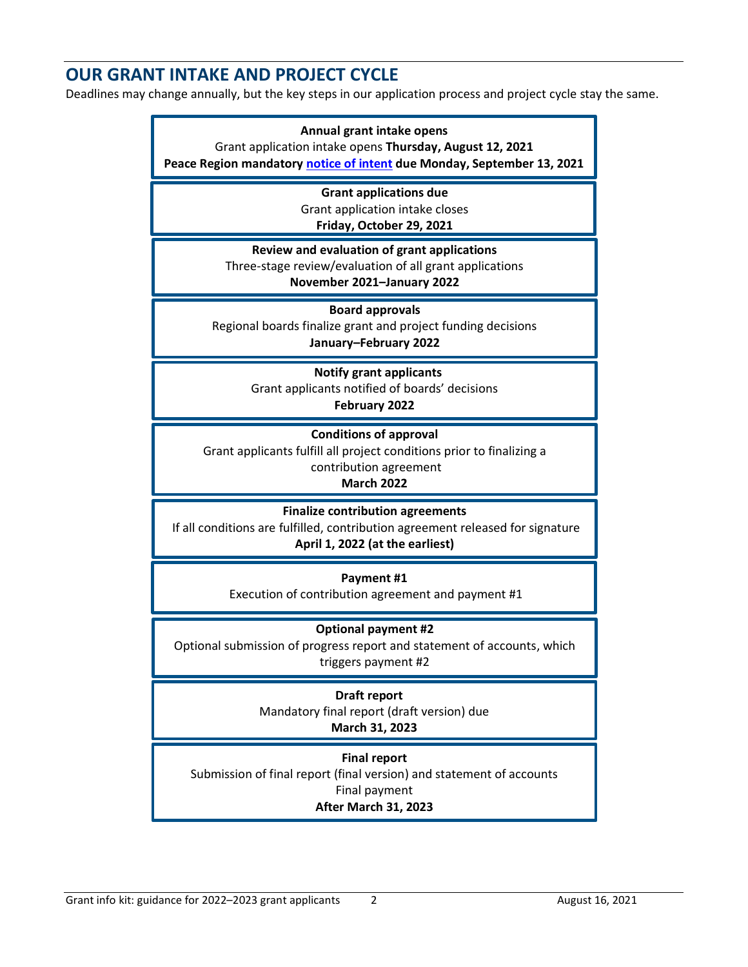# **OUR GRANT INTAKE AND PROJECT CYCLE**

Deadlines may change annually, but the key steps in our application process and project cycle stay the same.

#### **Annual grant intake opens**

Grant application intake opens **Thursday, August 12, 2021**

**Peace Region mandator[y notice of intent](https://fwcp.ca/peace-region-notice-intent/) due Monday, September 13, 2021**

**Grant applications due** Grant application intake closes

**Friday, October 29, 2021**

**Review and evaluation of grant applications**

Three-stage review/evaluation of all grant applications **November 2021–January 2022**

**Board approvals**

Regional boards finalize grant and project funding decisions **January–February 2022**

#### **Notify grant applicants**

Grant applicants notified of boards' decisions **February 2022**

**Conditions of approval**

Grant applicants fulfill all project conditions prior to finalizing a contribution agreement

**March 2022**

**Finalize contribution agreements**

If all conditions are fulfilled, contribution agreement released for signature **April 1, 2022 (at the earliest)**

**Payment #1**

Execution of contribution agreement and payment #1

#### **Optional payment #2**

Optional submission of progress report and statement of accounts, which triggers payment #2

#### **Draft report**

Mandatory final report (draft version) due **March 31, 2023**

**Final report**

Submission of final report (final version) and statement of accounts Final payment **After March 31, 2023**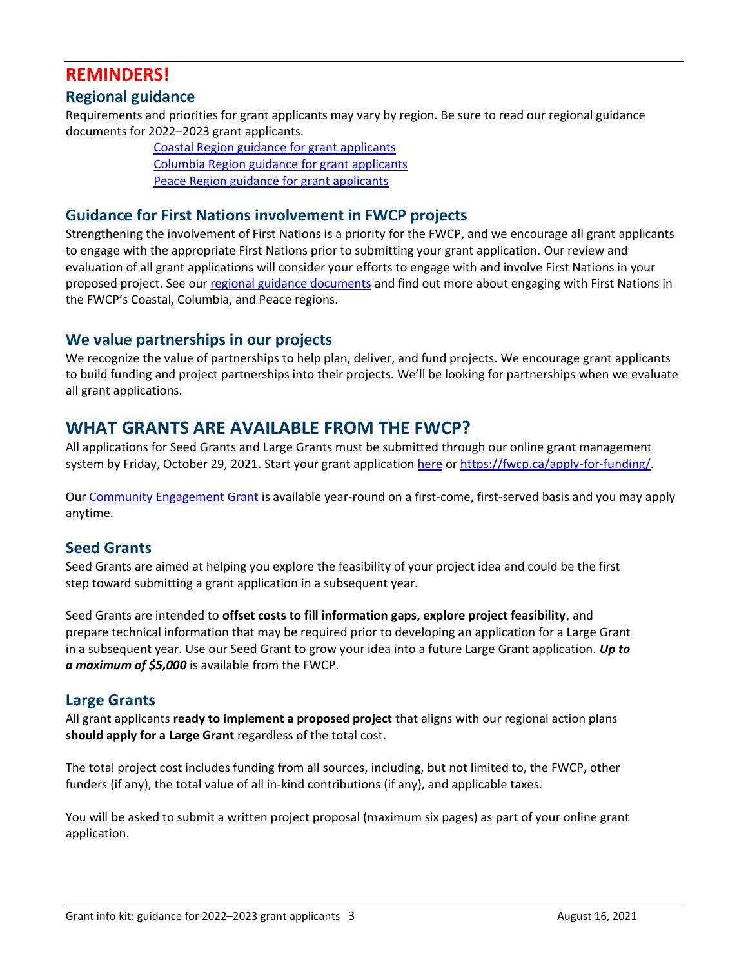# **REMINDERS!**

## **Regional guidance**

Requirements and priorities for grant applicants may vary by region. Be sure to read our regional guidance documents for 2022–2023 grant applicants.

> [Coastal Region guidance for grant applicants](https://fwcp.ca/grant-requirements-guidance/) [Columbia Region guidance for grant applicants](https://fwcp.ca/grant-requirements-guidance/) [Peace Region guidance for grant applicants](https://fwcp.ca/grant-requirements-guidance/)

### **Guidance for First Nations involvement in FWCP projects**

Strengthening the involvement of First Nations is a priority for the FWCP, and we encourage all grant applicants to engage with the appropriate First Nations prior to submitting your grant application. Our review and evaluation of all grant applications will consider your efforts to engage with and involve First Nations in your proposed project. See our [regional guidance documents](https://fwcp.ca/grant-requirements-guidance/) and find out more about engaging with First Nations in the FWCP's Coastal, Columbia, and Peace regions.

### **We value partnerships in our projects**

We recognize the value of partnerships to help plan, deliver, and fund projects. We encourage grant applicants to build funding and project partnerships into their projects. We'll be looking for partnerships when we evaluate all grant applications.

## **WHAT GRANTS ARE AVAILABLE FROM THE FWCP?**

All applications for Seed Grants and Large Grants must be submitted through our online grant management system by Friday, October 29, 2021. Start your grant application [here](https://fwcp.ca/apply-for-funding/) or [https://fwcp.ca/apply-for-funding/.](https://fwcp.ca/apply-for-funding/)

Our [Community Engagement Grant](https://fwcp.ca/community-engagement-grants/) is available year-round on a first-come, first-served basis and you may apply anytime.

## **Seed Grants**

Seed Grants are aimed at helping you explore the feasibility of your project idea and could be the first step toward submitting a grant application in a subsequent year.

Seed Grants are intended to **offset costs to fill information gaps, explore project feasibility**, and prepare technical information that may be required prior to developing an application for a Large Grant in a subsequent year. Use our Seed Grant to grow your idea into a future Large Grant application. *Up to a maximum of \$5,000* is available from the FWCP.

### **Large Grants**

All grant applicants **ready to implement a proposed project** that aligns with our regional action plans **should apply for a Large Grant** regardless of the total cost.

The total project cost includes funding from all sources, including, but not limited to, the FWCP, other funders (if any), the total value of all in-kind contributions (if any), and applicable taxes.

You will be asked to submit a written project proposal (maximum six pages) as part of your online grant application.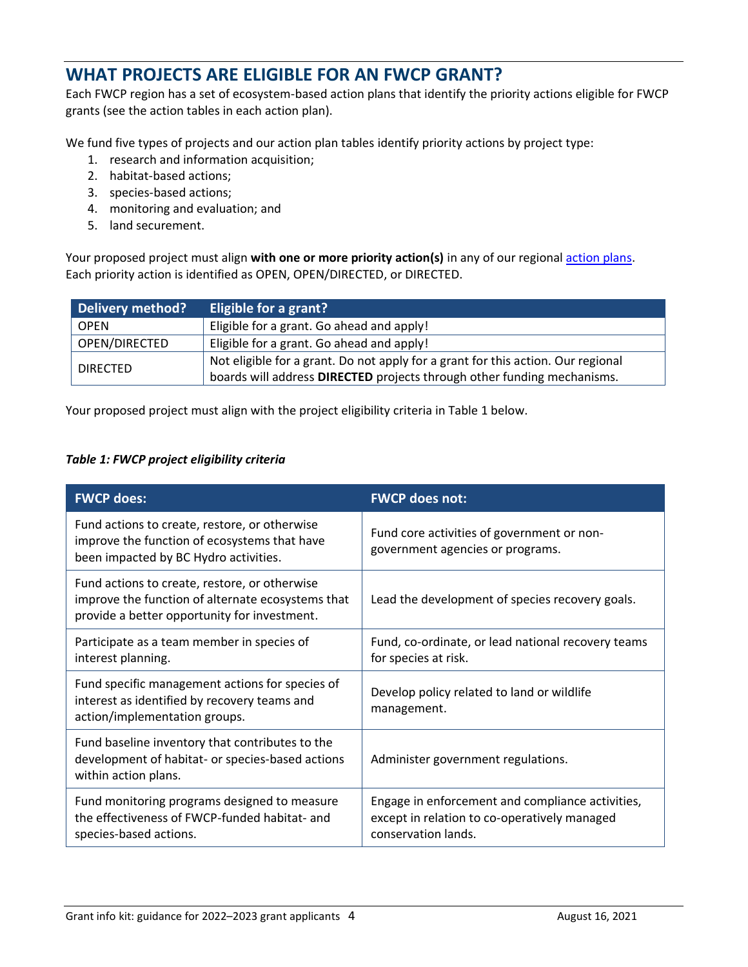# **WHAT PROJECTS ARE ELIGIBLE FOR AN FWCP GRANT?**

Each FWCP region has a set of ecosystem-based action plans that identify the priority actions eligible for FWCP grants (see the action tables in each action plan).

We fund five types of projects and our action plan tables identify priority actions by project type:

- 1. research and information acquisition;
- 2. habitat-based actions;
- 3. species-based actions;
- 4. monitoring and evaluation; and
- 5. land securement.

Your proposed project must align **with one or more priority action(s)** in any of our regional [action plans.](https://fwcp.ca/action-plans/) Each priority action is identified as OPEN, OPEN/DIRECTED, or DIRECTED.

| Delivery method? | Eligible for a grant?                                                                                                                                       |
|------------------|-------------------------------------------------------------------------------------------------------------------------------------------------------------|
| <b>OPEN</b>      | Eligible for a grant. Go ahead and apply!                                                                                                                   |
| OPEN/DIRECTED    | Eligible for a grant. Go ahead and apply!                                                                                                                   |
| <b>DIRECTED</b>  | Not eligible for a grant. Do not apply for a grant for this action. Our regional<br>boards will address DIRECTED projects through other funding mechanisms. |

Your proposed project must align with the project eligibility criteria in Table 1 below.

#### *Table 1: FWCP project eligibility criteria*

| <b>FWCP does:</b>                                                                                                                                  | <b>FWCP does not:</b>                                                                                                   |
|----------------------------------------------------------------------------------------------------------------------------------------------------|-------------------------------------------------------------------------------------------------------------------------|
| Fund actions to create, restore, or otherwise<br>improve the function of ecosystems that have<br>been impacted by BC Hydro activities.             | Fund core activities of government or non-<br>government agencies or programs.                                          |
| Fund actions to create, restore, or otherwise<br>improve the function of alternate ecosystems that<br>provide a better opportunity for investment. | Lead the development of species recovery goals.                                                                         |
| Participate as a team member in species of<br>interest planning.                                                                                   | Fund, co-ordinate, or lead national recovery teams<br>for species at risk.                                              |
| Fund specific management actions for species of<br>interest as identified by recovery teams and<br>action/implementation groups.                   | Develop policy related to land or wildlife<br>management.                                                               |
| Fund baseline inventory that contributes to the<br>development of habitat- or species-based actions<br>within action plans.                        | Administer government regulations.                                                                                      |
| Fund monitoring programs designed to measure<br>the effectiveness of FWCP-funded habitat- and<br>species-based actions.                            | Engage in enforcement and compliance activities,<br>except in relation to co-operatively managed<br>conservation lands. |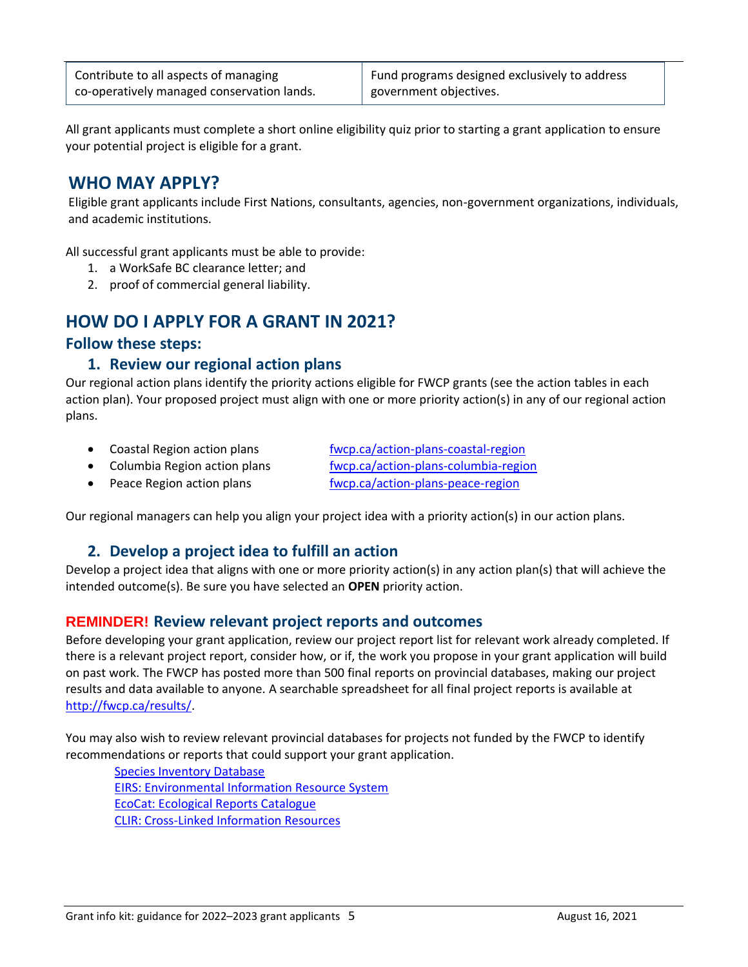All grant applicants must complete a short online eligibility quiz prior to starting a grant application to ensure your potential project is eligible for a grant.

# **WHO MAY APPLY?**

Eligible grant applicants include First Nations, consultants, agencies, non-government organizations, individuals, and academic institutions.

All successful grant applicants must be able to provide:

- 1. a WorkSafe BC clearance letter; and
- 2. proof of commercial general liability.

# **HOW DO I APPLY FOR A GRANT IN 2021?**

#### **Follow these steps:**

### **1. Review our regional action plans**

Our regional action plans identify the priority actions eligible for FWCP grants (see the action tables in each action plan). Your proposed project must align with one or more priority action(s) in any of our regional action plans.

- [Coastal Region](http://fwcp.ca/region/coastal-region/) action plans [fwcp.ca/action-plans-coastal-region](https://fwcp.ca/action-plans-coastal-region/)
- Columbia Region action plans [fwcp.ca/action-plans-columbia-region](https://fwcp.ca/action-plans-columbia-region/)
- 
- 
- [Peace Region a](http://fwcp.ca/region/peace-region/)ction plans [fwcp.ca/action-plans-peace-region](https://fwcp.ca/action-plans-peace-region/)

Our regional managers can help you align your project idea with a priority action(s) in our action plans.

## **2. Develop a project idea to fulfill an action**

Develop a project idea that aligns with one or more priority action(s) in any action plan(s) that will achieve the intended outcome(s). Be sure you have selected an **OPEN** priority action.

## **REMINDER! Review relevant project reports and outcomes**

Before developing your grant application, review our project report list for relevant work already completed. If there is a relevant project report, consider how, or if, the work you propose in your grant application will build on past work. The FWCP has posted more than 500 final reports on provincial databases, making our project results and data available to anyone. A searchable spreadsheet for all final project reports is available at [http://fwcp.ca/results/.](http://fwcp.ca/results/)

You may also wish to review relevant provincial databases for projects not funded by the FWCP to identify recommendations or reports that could support your grant application.

 [Species Inventory Database](http://a100.gov.bc.ca/pub/siwe/search_reset.do) [EIRS: Environmental Information Resource System](https://www2.gov.bc.ca/gov/content/environment/research-monitoring-reporting/libraries-publication-catalogues/eirs-biodiversity) [EcoCat: Ecological Reports Catalogue](https://www2.gov.bc.ca/gov/content/environment/research-monitoring-reporting/libraries-publication-catalogues/ecocat) [CLIR: Cross-Linked Information Resources](https://www2.gov.bc.ca/gov/content/environment/research-monitoring-reporting/libraries-publication-catalogues/cross-linked-information-resources-clir)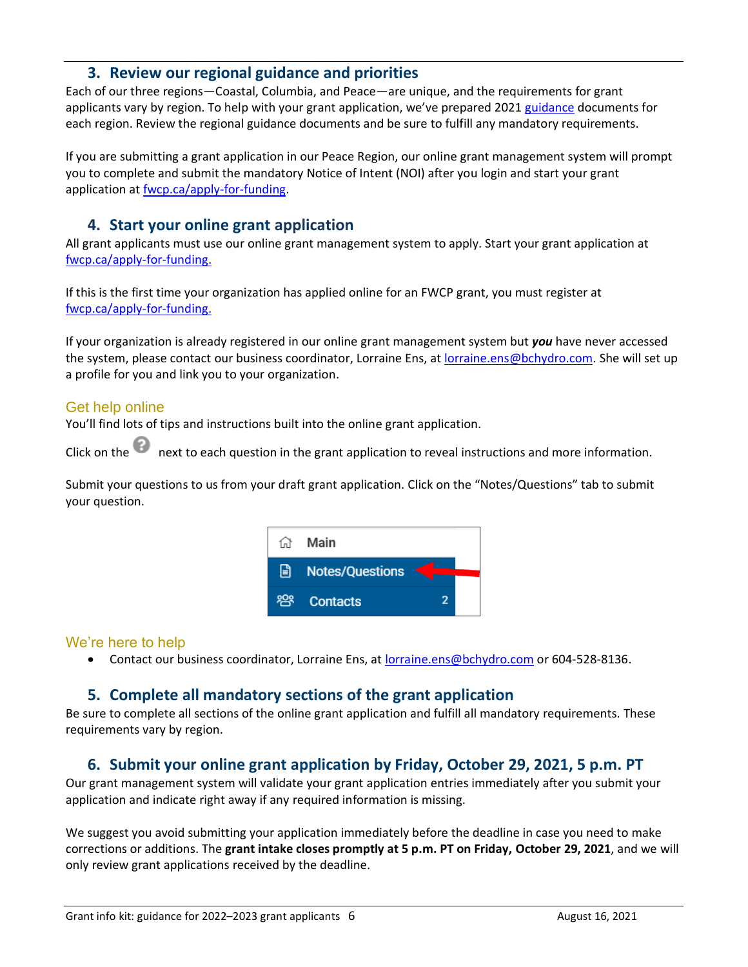### **3. Review our regional guidance and priorities**

Each of our three regions—Coastal, Columbia, and Peace—are unique, and the requirements for grant applicants vary by region. To help with your grant application, we've prepared 2021 [guidance](https://fwcp.ca/grant-requirements-guidance/) documents for each region. Review the regional guidance documents and be sure to fulfill any mandatory requirements.

If you are submitting a grant application in our Peace Region, our online grant management system will prompt you to complete and submit the mandatory Notice of Intent (NOI) after you login and start your grant application at [fwcp.ca/apply-for-funding.](http://fwcp.ca/apply-for-funding/)

## **4. Start your online grant application**

All grant applicants must use our online grant management system to apply. Start your grant application at [fwcp.ca/apply-for-funding.](http://fwcp.ca/apply-for-funding/)

If this is the first time your organization has applied online for an FWCP grant, you must register at [fwcp.ca/apply-for-funding.](http://fwcp.ca/apply-for-funding/)

If your organization is already registered in our online grant management system but *you* have never accessed the system, please contact our business coordinator, Lorraine Ens, a[t lorraine.ens@bchydro.com.](mailto:lorraine.ens@bchydro.com) She will set up a profile for you and link you to your organization.

### Get help online

You'll find lots of tips and instructions built into the online grant application.

Click on the next to each question in the grant application to reveal instructions and more information.

Submit your questions to us from your draft grant application. Click on the "Notes/Questions" tab to submit your question.



#### We're here to help

• Contact our business coordinator, Lorraine Ens, at [lorraine.ens@bchydro.com](mailto:lorraine.ens@bchydro.com) or 604-528-8136.

## **5. Complete all mandatory sections of the grant application**

Be sure to complete all sections of the online grant application and fulfill all mandatory requirements. These requirements vary by region.

## **6. Submit your online grant application by Friday, October 29, 2021, 5 p.m. PT**

Our grant management system will validate your grant application entries immediately after you submit your application and indicate right away if any required information is missing.

We suggest you avoid submitting your application immediately before the deadline in case you need to make corrections or additions. The **grant intake closes promptly at 5 p.m. PT on Friday, October 29, 2021**, and we will only review grant applications received by the deadline.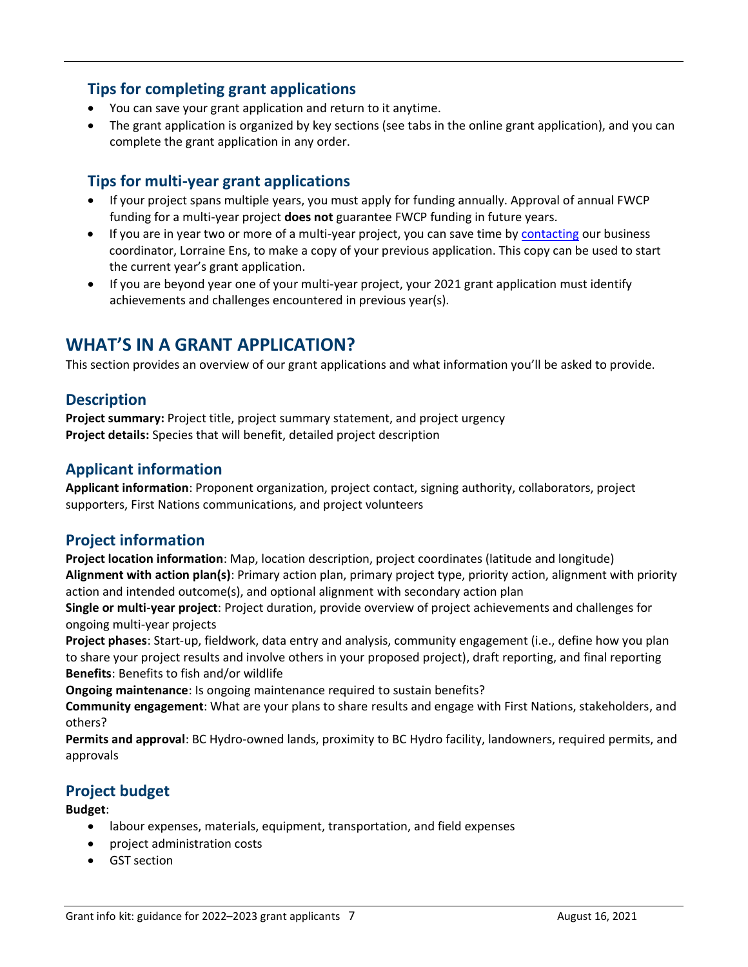## **Tips for completing grant applications**

- You can save your grant application and return to it anytime.
- The grant application is organized by key sections (see tabs in the online grant application), and you can complete the grant application in any order.

## **Tips for multi-year grant applications**

- If your project spans multiple years, you must apply for funding annually. Approval of annual FWCP funding for a multi-year project **does not** guarantee FWCP funding in future years.
- If you are in year two or more of a multi-year project, you can save time b[y contacting](mailto:lorraine.ens@bchydro.com) our business coordinator, Lorraine Ens, to make a copy of your previous application. This copy can be used to start the current year's grant application.
- If you are beyond year one of your multi-year project, your 2021 grant application must identify achievements and challenges encountered in previous year(s).

# **WHAT'S IN A GRANT APPLICATION?**

This section provides an overview of our grant applications and what information you'll be asked to provide.

### **Description**

**Project summary:** Project title, project summary statement, and project urgency **Project details:** Species that will benefit, detailed project description

## **Applicant information**

**Applicant information**: Proponent organization, project contact, signing authority, collaborators, project supporters, First Nations communications, and project volunteers

## **Project information**

**Project location information**: Map, location description, project coordinates (latitude and longitude) **Alignment with action plan(s)**: Primary action plan, primary project type, priority action, alignment with priority action and intended outcome(s), and optional alignment with secondary action plan

**Single or multi-year project**: Project duration, provide overview of project achievements and challenges for ongoing multi-year projects

**Project phases**: Start-up, fieldwork, data entry and analysis, community engagement (i.e., define how you plan to share your project results and involve others in your proposed project), draft reporting, and final reporting **Benefits**: Benefits to fish and/or wildlife

**Ongoing maintenance**: Is ongoing maintenance required to sustain benefits?

**Community engagement**: What are your plans to share results and engage with First Nations, stakeholders, and others?

**Permits and approval**: BC Hydro-owned lands, proximity to BC Hydro facility, landowners, required permits, and approvals

## **Project budget**

#### **Budget**:

- labour expenses, materials, equipment, transportation, and field expenses
- project administration costs
- GST section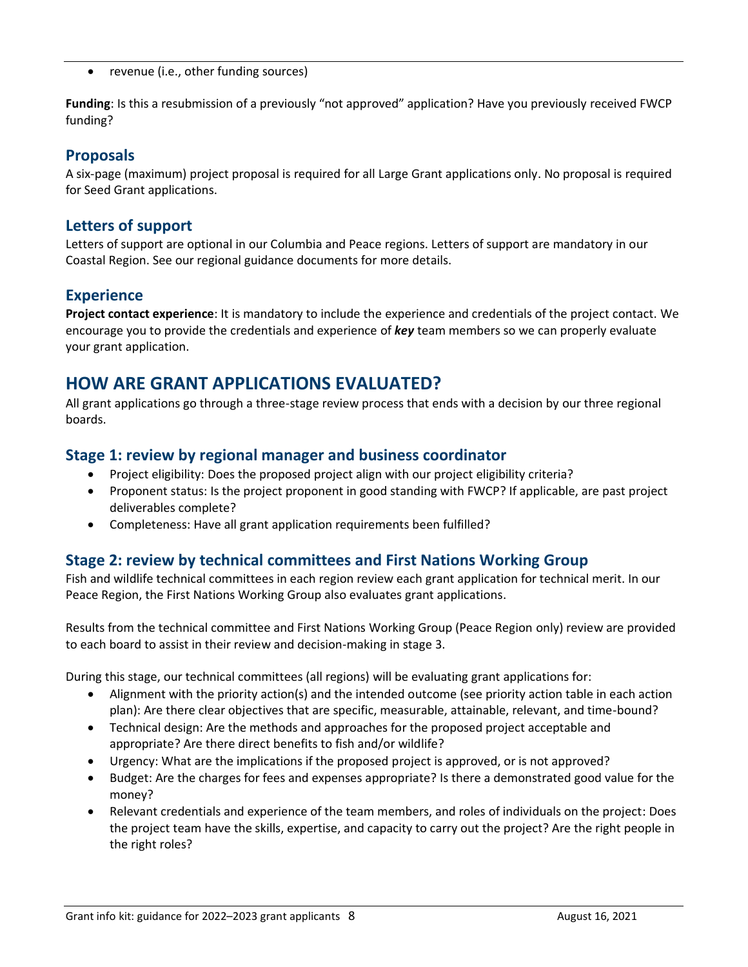• revenue (i.e., other funding sources)

**Funding**: Is this a resubmission of a previously "not approved" application? Have you previously received FWCP funding?

## **Proposals**

A six-page (maximum) project proposal is required for all Large Grant applications only. No proposal is required for Seed Grant applications.

### **Letters of support**

Letters of support are optional in our Columbia and Peace regions. Letters of support are mandatory in our Coastal Region. See our regional guidance documents for more details.

## **Experience**

**Project contact experience**: It is mandatory to include the experience and credentials of the project contact. We encourage you to provide the credentials and experience of *key* team members so we can properly evaluate your grant application.

# **HOW ARE GRANT APPLICATIONS EVALUATED?**

All grant applications go through a three-stage review process that ends with a decision by our three regional boards.

## **Stage 1: review by regional manager and business coordinator**

- Project eligibility: Does the proposed project align with our project eligibility criteria?
- Proponent status: Is the project proponent in good standing with FWCP? If applicable, are past project deliverables complete?
- Completeness: Have all grant application requirements been fulfilled?

## **Stage 2: review by technical committees and First Nations Working Group**

Fish and wildlife technical committees in each region review each grant application for technical merit. In our Peace Region, the First Nations Working Group also evaluates grant applications.

Results from the technical committee and First Nations Working Group (Peace Region only) review are provided to each board to assist in their review and decision-making in stage 3.

During this stage, our technical committees (all regions) will be evaluating grant applications for:

- Alignment with the priority action(s) and the intended outcome (see priority action table in each action plan): Are there clear objectives that are specific, measurable, attainable, relevant, and time-bound?
- Technical design: Are the methods and approaches for the proposed project acceptable and appropriate? Are there direct benefits to fish and/or wildlife?
- Urgency: What are the implications if the proposed project is approved, or is not approved?
- Budget: Are the charges for fees and expenses appropriate? Is there a demonstrated good value for the money?
- Relevant credentials and experience of the team members, and roles of individuals on the project: Does the project team have the skills, expertise, and capacity to carry out the project? Are the right people in the right roles?